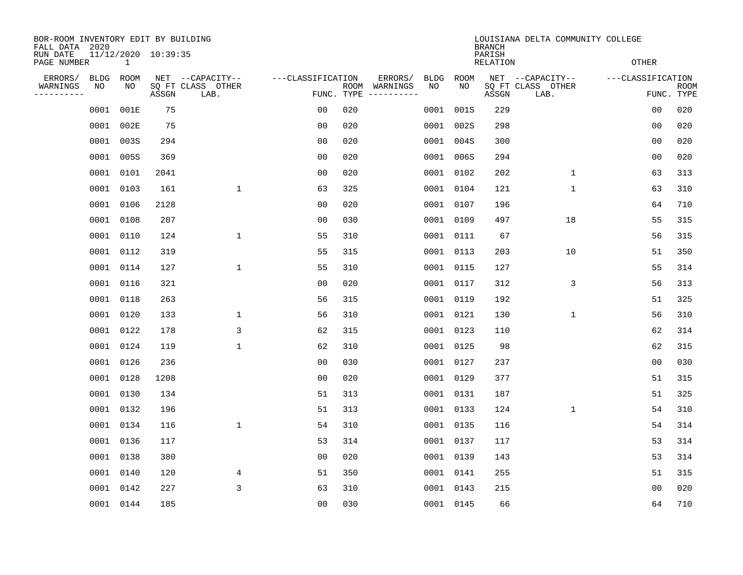| BOR-ROOM INVENTORY EDIT BY BUILDING<br>FALL DATA 2020 |                   |              |                     |                                               |                                 | LOUISIANA DELTA COMMUNITY COLLEGE<br><b>BRANCH</b> |                                                                                                                                                      |            |                           |                                               |                   |                           |  |  |
|-------------------------------------------------------|-------------------|--------------|---------------------|-----------------------------------------------|---------------------------------|----------------------------------------------------|------------------------------------------------------------------------------------------------------------------------------------------------------|------------|---------------------------|-----------------------------------------------|-------------------|---------------------------|--|--|
| RUN DATE<br>PAGE NUMBER                               |                   | $\mathbf{1}$ | 11/12/2020 10:39:35 |                                               |                                 |                                                    |                                                                                                                                                      |            | PARISH<br><b>RELATION</b> |                                               | <b>OTHER</b>      |                           |  |  |
| ERRORS/<br>WARNINGS<br>----------                     | <b>BLDG</b><br>NO | ROOM<br>NO   | ASSGN               | NET --CAPACITY--<br>SQ FT CLASS OTHER<br>LAB. | ---CLASSIFICATION<br>FUNC. TYPE |                                                    | ERRORS/<br>BLDG<br>ROOM WARNINGS<br>NO<br>$\begin{tabular}{ccccccccc} - & - & - & - & - & - & - & - \\ & - & - & - & - & - & - & - \\ \end{tabular}$ | ROOM<br>NO | ASSGN                     | NET --CAPACITY--<br>SQ FT CLASS OTHER<br>LAB. | ---CLASSIFICATION | <b>ROOM</b><br>FUNC. TYPE |  |  |
|                                                       | 0001              | 001E         | 75                  |                                               | 0 <sub>0</sub>                  | 020                                                | 0001                                                                                                                                                 | 001S       | 229                       |                                               | 0 <sub>0</sub>    | 020                       |  |  |
|                                                       | 0001 002E         |              | 75                  |                                               | 0 <sub>0</sub>                  | 020                                                |                                                                                                                                                      | 0001 002S  | 298                       |                                               | 0 <sub>0</sub>    | 020                       |  |  |
|                                                       | 0001              | 003S         | 294                 |                                               | 0 <sub>0</sub>                  | 020                                                |                                                                                                                                                      | 0001 004S  | 300                       |                                               | 0 <sub>0</sub>    | 020                       |  |  |
|                                                       | 0001 005S         |              | 369                 |                                               | 0 <sub>0</sub>                  | 020                                                |                                                                                                                                                      | 0001 006S  | 294                       |                                               | 0 <sub>0</sub>    | 020                       |  |  |
|                                                       | 0001 0101         |              | 2041                |                                               | 0 <sub>0</sub>                  | 020                                                |                                                                                                                                                      | 0001 0102  | 202                       | $\mathbf{1}$                                  | 63                | 313                       |  |  |
|                                                       | 0001 0103         |              | 161                 | $\mathbf 1$                                   | 63                              | 325                                                |                                                                                                                                                      | 0001 0104  | 121                       | $\mathbf 1$                                   | 63                | 310                       |  |  |
|                                                       | 0001 0106         |              | 2128                |                                               | 0 <sub>0</sub>                  | 020                                                |                                                                                                                                                      | 0001 0107  | 196                       |                                               | 64                | 710                       |  |  |
|                                                       | 0001 0108         |              | 207                 |                                               | 0 <sub>0</sub>                  | 030                                                |                                                                                                                                                      | 0001 0109  | 497                       | 18                                            | 55                | 315                       |  |  |
|                                                       | 0001 0110         |              | 124                 | $\mathbf 1$                                   | 55                              | 310                                                | 0001                                                                                                                                                 | 0111       | 67                        |                                               | 56                | 315                       |  |  |
|                                                       | 0001 0112         |              | 319                 |                                               | 55                              | 315                                                |                                                                                                                                                      | 0001 0113  | 203                       | 10                                            | 51                | 350                       |  |  |
|                                                       | 0001 0114         |              | 127                 | $\mathbf 1$                                   | 55                              | 310                                                | 0001                                                                                                                                                 | 0115       | 127                       |                                               | 55                | 314                       |  |  |
|                                                       | 0001 0116         |              | 321                 |                                               | 0 <sub>0</sub>                  | 020                                                |                                                                                                                                                      | 0001 0117  | 312                       | 3                                             | 56                | 313                       |  |  |
|                                                       | 0001 0118         |              | 263                 |                                               | 56                              | 315                                                | 0001                                                                                                                                                 | 0119       | 192                       |                                               | 51                | 325                       |  |  |
|                                                       | 0001 0120         |              | 133                 | $\mathbf 1$                                   | 56                              | 310                                                |                                                                                                                                                      | 0001 0121  | 130                       | 1                                             | 56                | 310                       |  |  |
|                                                       | 0001 0122         |              | 178                 | 3                                             | 62                              | 315                                                |                                                                                                                                                      | 0001 0123  | 110                       |                                               | 62                | 314                       |  |  |
|                                                       | 0001 0124         |              | 119                 | $\mathbf 1$                                   | 62                              | 310                                                |                                                                                                                                                      | 0001 0125  | 98                        |                                               | 62                | 315                       |  |  |
|                                                       | 0001 0126         |              | 236                 |                                               | 0 <sub>0</sub>                  | 030                                                |                                                                                                                                                      | 0001 0127  | 237                       |                                               | 0 <sub>0</sub>    | 030                       |  |  |
|                                                       | 0001 0128         |              | 1208                |                                               | 0 <sub>0</sub>                  | 020                                                |                                                                                                                                                      | 0001 0129  | 377                       |                                               | 51                | 315                       |  |  |
|                                                       | 0001 0130         |              | 134                 |                                               | 51                              | 313                                                |                                                                                                                                                      | 0001 0131  | 187                       |                                               | 51                | 325                       |  |  |
|                                                       | 0001 0132         |              | 196                 |                                               | 51                              | 313                                                |                                                                                                                                                      | 0001 0133  | 124                       | $\mathbf{1}$                                  | 54                | 310                       |  |  |
|                                                       | 0001 0134         |              | 116                 | $\mathbf 1$                                   | 54                              | 310                                                |                                                                                                                                                      | 0001 0135  | 116                       |                                               | 54                | 314                       |  |  |
|                                                       | 0001 0136         |              | 117                 |                                               | 53                              | 314                                                |                                                                                                                                                      | 0001 0137  | 117                       |                                               | 53                | 314                       |  |  |
|                                                       | 0001 0138         |              | 380                 |                                               | 0 <sub>0</sub>                  | 020                                                |                                                                                                                                                      | 0001 0139  | 143                       |                                               | 53                | 314                       |  |  |
|                                                       | 0001 0140         |              | 120                 | 4                                             | 51                              | 350                                                |                                                                                                                                                      | 0001 0141  | 255                       |                                               | 51                | 315                       |  |  |
|                                                       | 0001 0142         |              | 227                 | 3                                             | 63                              | 310                                                |                                                                                                                                                      | 0001 0143  | 215                       |                                               | 00                | 020                       |  |  |
|                                                       |                   | 0001 0144    | 185                 |                                               | 0 <sub>0</sub>                  | 030                                                |                                                                                                                                                      | 0001 0145  | 66                        |                                               | 64                | 710                       |  |  |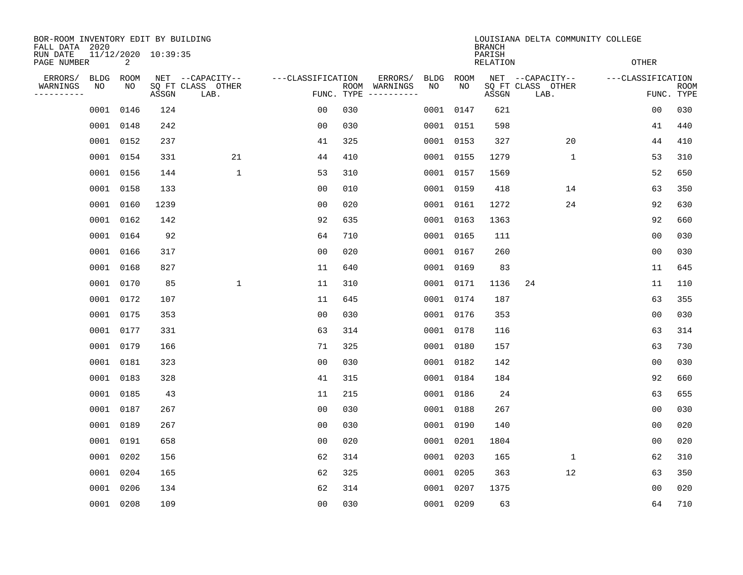| BOR-ROOM INVENTORY EDIT BY BUILDING<br>FALL DATA 2020 |            |            |                     |                                               |                                 | LOUISIANA DELTA COMMUNITY COLLEGE<br><b>BRANCH</b> |                                        |            |                           |                                               |                   |                           |  |
|-------------------------------------------------------|------------|------------|---------------------|-----------------------------------------------|---------------------------------|----------------------------------------------------|----------------------------------------|------------|---------------------------|-----------------------------------------------|-------------------|---------------------------|--|
| RUN DATE<br>PAGE NUMBER                               |            | 2          | 11/12/2020 10:39:35 |                                               |                                 |                                                    |                                        |            | PARISH<br><b>RELATION</b> |                                               | <b>OTHER</b>      |                           |  |
| ERRORS/<br>WARNINGS<br>----------                     | BLDG<br>NO | ROOM<br>NO | ASSGN               | NET --CAPACITY--<br>SQ FT CLASS OTHER<br>LAB. | ---CLASSIFICATION<br>FUNC. TYPE |                                                    | ERRORS/<br>BLDG<br>ROOM WARNINGS<br>NO | ROOM<br>NO | ASSGN                     | NET --CAPACITY--<br>SQ FT CLASS OTHER<br>LAB. | ---CLASSIFICATION | <b>ROOM</b><br>FUNC. TYPE |  |
|                                                       | 0001 0146  |            | 124                 |                                               | 0 <sub>0</sub>                  | 030                                                |                                        | 0001 0147  | 621                       |                                               | 0 <sub>0</sub>    | 030                       |  |
|                                                       | 0001 0148  |            | 242                 |                                               | 0 <sub>0</sub>                  | 030                                                |                                        | 0001 0151  | 598                       |                                               | 41                | 440                       |  |
|                                                       | 0001 0152  |            | 237                 |                                               | 41                              | 325                                                |                                        | 0001 0153  | 327                       | 20                                            | 44                | 410                       |  |
|                                                       | 0001 0154  |            | 331                 | 21                                            | 44                              | 410                                                |                                        | 0001 0155  | 1279                      | $\mathbf 1$                                   | 53                | 310                       |  |
|                                                       | 0001 0156  |            | 144                 | $\mathbf 1$                                   | 53                              | 310                                                |                                        | 0001 0157  | 1569                      |                                               | 52                | 650                       |  |
|                                                       | 0001 0158  |            | 133                 |                                               | 0 <sub>0</sub>                  | 010                                                |                                        | 0001 0159  | 418                       | 14                                            | 63                | 350                       |  |
|                                                       | 0001 0160  |            | 1239                |                                               | 0 <sub>0</sub>                  | 020                                                |                                        | 0001 0161  | 1272                      | 24                                            | 92                | 630                       |  |
|                                                       | 0001 0162  |            | 142                 |                                               | 92                              | 635                                                |                                        | 0001 0163  | 1363                      |                                               | 92                | 660                       |  |
|                                                       | 0001 0164  |            | 92                  |                                               | 64                              | 710                                                |                                        | 0001 0165  | 111                       |                                               | 0 <sub>0</sub>    | 030                       |  |
|                                                       | 0001 0166  |            | 317                 |                                               | 00                              | 020                                                |                                        | 0001 0167  | 260                       |                                               | 0 <sub>0</sub>    | 030                       |  |
|                                                       | 0001 0168  |            | 827                 |                                               | 11                              | 640                                                | 0001                                   | 0169       | 83                        |                                               | 11                | 645                       |  |
|                                                       | 0001 0170  |            | 85                  | $\mathbf 1$                                   | 11                              | 310                                                |                                        | 0001 0171  | 1136                      | 24                                            | 11                | 110                       |  |
|                                                       | 0001 0172  |            | 107                 |                                               | 11                              | 645                                                | 0001                                   | 0174       | 187                       |                                               | 63                | 355                       |  |
|                                                       | 0001 0175  |            | 353                 |                                               | 0 <sub>0</sub>                  | 030                                                |                                        | 0001 0176  | 353                       |                                               | 0 <sub>0</sub>    | 030                       |  |
|                                                       | 0001 0177  |            | 331                 |                                               | 63                              | 314                                                |                                        | 0001 0178  | 116                       |                                               | 63                | 314                       |  |
|                                                       | 0001 0179  |            | 166                 |                                               | 71                              | 325                                                |                                        | 0001 0180  | 157                       |                                               | 63                | 730                       |  |
|                                                       | 0001 0181  |            | 323                 |                                               | 0 <sub>0</sub>                  | 030                                                |                                        | 0001 0182  | 142                       |                                               | 0 <sub>0</sub>    | 030                       |  |
|                                                       | 0001 0183  |            | 328                 |                                               | 41                              | 315                                                |                                        | 0001 0184  | 184                       |                                               | 92                | 660                       |  |
|                                                       | 0001 0185  |            | 43                  |                                               | 11                              | 215                                                |                                        | 0001 0186  | 24                        |                                               | 63                | 655                       |  |
|                                                       | 0001 0187  |            | 267                 |                                               | 0 <sub>0</sub>                  | 030                                                |                                        | 0001 0188  | 267                       |                                               | 0 <sub>0</sub>    | 030                       |  |
|                                                       | 0001 0189  |            | 267                 |                                               | 0 <sub>0</sub>                  | 030                                                |                                        | 0001 0190  | 140                       |                                               | 0 <sub>0</sub>    | 020                       |  |
|                                                       | 0001 0191  |            | 658                 |                                               | 0 <sub>0</sub>                  | 020                                                |                                        | 0001 0201  | 1804                      |                                               | 0 <sub>0</sub>    | 020                       |  |
|                                                       | 0001 0202  |            | 156                 |                                               | 62                              | 314                                                |                                        | 0001 0203  | 165                       | $\mathbf 1$                                   | 62                | 310                       |  |
|                                                       | 0001 0204  |            | 165                 |                                               | 62                              | 325                                                |                                        | 0001 0205  | 363                       | 12                                            | 63                | 350                       |  |
|                                                       | 0001       | 0206       | 134                 |                                               | 62                              | 314                                                |                                        | 0001 0207  | 1375                      |                                               | 0 <sub>0</sub>    | 020                       |  |
|                                                       | 0001 0208  |            | 109                 |                                               | 0 <sub>0</sub>                  | 030                                                |                                        | 0001 0209  | 63                        |                                               | 64                | 710                       |  |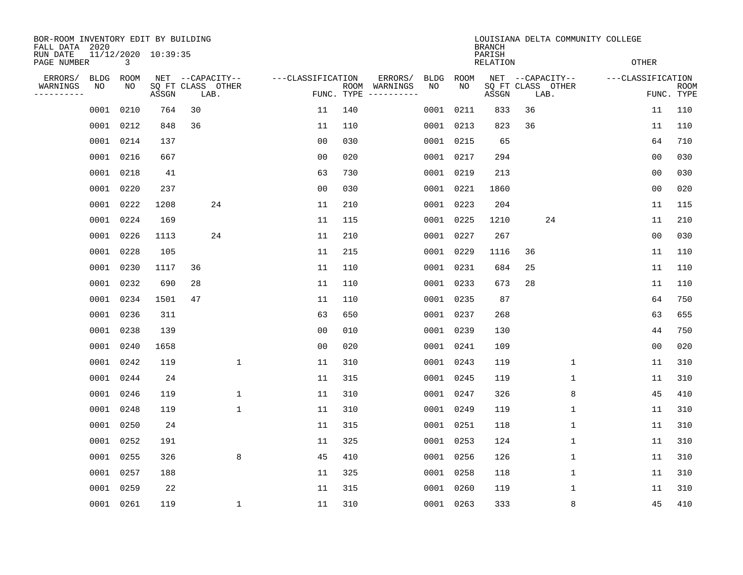| BOR-ROOM INVENTORY EDIT BY BUILDING<br>FALL DATA 2020 |                          |       |                                               |                   | LOUISIANA DELTA COMMUNITY COLLEGE<br><b>BRANCH</b> |                                                       |            |                    |                                               |  |                   |                           |  |
|-------------------------------------------------------|--------------------------|-------|-----------------------------------------------|-------------------|----------------------------------------------------|-------------------------------------------------------|------------|--------------------|-----------------------------------------------|--|-------------------|---------------------------|--|
| RUN DATE<br>PAGE NUMBER                               | 11/12/2020 10:39:35<br>3 |       |                                               |                   |                                                    |                                                       |            | PARISH<br>RELATION |                                               |  | <b>OTHER</b>      |                           |  |
| ERRORS/<br>BLDG<br>WARNINGS<br>NO<br>---------        | ROOM<br>NO               | ASSGN | NET --CAPACITY--<br>SQ FT CLASS OTHER<br>LAB. | ---CLASSIFICATION | FUNC. TYPE                                         | ERRORS/<br>BLDG<br>ROOM WARNINGS<br>NO<br>----------- | ROOM<br>NO | ASSGN              | NET --CAPACITY--<br>SQ FT CLASS OTHER<br>LAB. |  | ---CLASSIFICATION | <b>ROOM</b><br>FUNC. TYPE |  |
| 0001                                                  | 0210                     | 764   | 30                                            | 11                | 140                                                |                                                       | 0001 0211  | 833                | 36                                            |  | 11                | 110                       |  |
| 0001                                                  | 0212                     | 848   | 36                                            | 11                | 110                                                |                                                       | 0001 0213  | 823                | 36                                            |  | 11                | 110                       |  |
| 0001                                                  | 0214                     | 137   |                                               | 0 <sub>0</sub>    | 030                                                |                                                       | 0001 0215  | 65                 |                                               |  | 64                | 710                       |  |
|                                                       | 0001 0216                | 667   |                                               | 0 <sub>0</sub>    | 020                                                |                                                       | 0001 0217  | 294                |                                               |  | 0 <sub>0</sub>    | 030                       |  |
| 0001                                                  | 0218                     | 41    |                                               | 63                | 730                                                |                                                       | 0001 0219  | 213                |                                               |  | 00                | 030                       |  |
|                                                       | 0001 0220                | 237   |                                               | 0 <sub>0</sub>    | 030                                                |                                                       | 0001 0221  | 1860               |                                               |  | 0 <sub>0</sub>    | 020                       |  |
| 0001                                                  | 0222                     | 1208  | 24                                            | 11                | 210                                                |                                                       | 0001 0223  | 204                |                                               |  | 11                | 115                       |  |
|                                                       | 0001 0224                | 169   |                                               | 11                | 115                                                |                                                       | 0001 0225  | 1210               | 24                                            |  | 11                | 210                       |  |
| 0001                                                  | 0226                     | 1113  | 24                                            | 11                | 210                                                |                                                       | 0001 0227  | 267                |                                               |  | 0 <sub>0</sub>    | 030                       |  |
|                                                       | 0001 0228                | 105   |                                               | 11                | 215                                                |                                                       | 0001 0229  | 1116               | 36                                            |  | 11                | 110                       |  |
| 0001                                                  | 0230                     | 1117  | 36                                            | 11                | 110                                                |                                                       | 0001 0231  | 684                | 25                                            |  | 11                | 110                       |  |
|                                                       | 0001 0232                | 690   | 28                                            | 11                | 110                                                |                                                       | 0001 0233  | 673                | 28                                            |  | 11                | 110                       |  |
| 0001                                                  | 0234                     | 1501  | 47                                            | 11                | 110                                                |                                                       | 0001 0235  | 87                 |                                               |  | 64                | 750                       |  |
| 0001                                                  | 0236                     | 311   |                                               | 63                | 650                                                |                                                       | 0001 0237  | 268                |                                               |  | 63                | 655                       |  |
| 0001                                                  | 0238                     | 139   |                                               | 0 <sub>0</sub>    | 010                                                |                                                       | 0001 0239  | 130                |                                               |  | 44                | 750                       |  |
| 0001                                                  | 0240                     | 1658  |                                               | 0 <sub>0</sub>    | 020                                                |                                                       | 0001 0241  | 109                |                                               |  | 0 <sub>0</sub>    | 020                       |  |
| 0001                                                  | 0242                     | 119   | $\mathbf{1}$                                  | 11                | 310                                                |                                                       | 0001 0243  | 119                | 1                                             |  | 11                | 310                       |  |
| 0001                                                  | 0244                     | 24    |                                               | 11                | 315                                                |                                                       | 0001 0245  | 119                | 1                                             |  | 11                | 310                       |  |
| 0001                                                  | 0246                     | 119   | 1                                             | 11                | 310                                                |                                                       | 0001 0247  | 326                | 8                                             |  | 45                | 410                       |  |
| 0001                                                  | 0248                     | 119   | $\mathbf 1$                                   | 11                | 310                                                |                                                       | 0001 0249  | 119                | 1                                             |  | 11                | 310                       |  |
| 0001                                                  | 0250                     | 24    |                                               | 11                | 315                                                |                                                       | 0001 0251  | 118                | 1                                             |  | 11                | 310                       |  |
| 0001                                                  | 0252                     | 191   |                                               | 11                | 325                                                |                                                       | 0001 0253  | 124                | $\mathbf 1$                                   |  | 11                | 310                       |  |
| 0001                                                  | 0255                     | 326   | 8                                             | 45                | 410                                                |                                                       | 0001 0256  | 126                | 1                                             |  | 11                | 310                       |  |
| 0001                                                  | 0257                     | 188   |                                               | 11                | 325                                                |                                                       | 0001 0258  | 118                | 1                                             |  | 11                | 310                       |  |
| 0001                                                  | 0259                     | 22    |                                               | 11                | 315                                                |                                                       | 0001 0260  | 119                | 1                                             |  | 11                | 310                       |  |
|                                                       | 0001 0261                | 119   | 1                                             | 11                | 310                                                |                                                       | 0001 0263  | 333                | 8                                             |  | 45                | 410                       |  |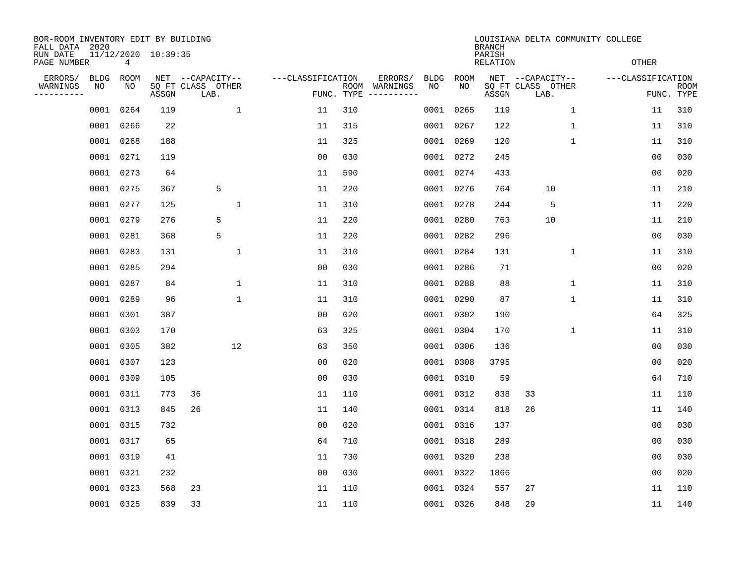| BOR-ROOM INVENTORY EDIT BY BUILDING<br>FALL DATA 2020 |                   |                 | LOUISIANA DELTA COMMUNITY COLLEGE<br><b>BRANCH</b> |                                               |              |                                 |     |                                                                                                                                        |            |            |                           |                                               |              |                   |                |                           |
|-------------------------------------------------------|-------------------|-----------------|----------------------------------------------------|-----------------------------------------------|--------------|---------------------------------|-----|----------------------------------------------------------------------------------------------------------------------------------------|------------|------------|---------------------------|-----------------------------------------------|--------------|-------------------|----------------|---------------------------|
| RUN DATE<br>PAGE NUMBER                               |                   | $4\overline{ }$ | 11/12/2020 10:39:35                                |                                               |              |                                 |     |                                                                                                                                        |            |            | PARISH<br><b>RELATION</b> |                                               |              | <b>OTHER</b>      |                |                           |
| ERRORS/<br>WARNINGS<br>---------                      | <b>BLDG</b><br>NO | ROOM<br>NO      | ASSGN                                              | NET --CAPACITY--<br>SQ FT CLASS OTHER<br>LAB. |              | ---CLASSIFICATION<br>FUNC. TYPE |     | ERRORS/<br>ROOM WARNINGS<br>$\begin{tabular}{ccccccccc} - & - & - & - & - & - & - & - \\ & - & - & - & - & - & - & - \\ \end{tabular}$ | BLDG<br>NO | ROOM<br>NO | ASSGN                     | NET --CAPACITY--<br>SQ FT CLASS OTHER<br>LAB. |              | ---CLASSIFICATION |                | <b>ROOM</b><br>FUNC. TYPE |
|                                                       | 0001              | 0264            | 119                                                |                                               | $\mathbf{1}$ | 11                              | 310 |                                                                                                                                        |            | 0001 0265  | 119                       |                                               | $\mathbf{1}$ |                   | 11             | 310                       |
|                                                       | 0001 0266         |                 | 22                                                 |                                               |              | 11                              | 315 |                                                                                                                                        |            | 0001 0267  | 122                       |                                               | $\mathbf{1}$ |                   | 11             | 310                       |
|                                                       | 0001 0268         |                 | 188                                                |                                               |              | 11                              | 325 |                                                                                                                                        |            | 0001 0269  | 120                       |                                               | $\mathbf{1}$ |                   | 11             | 310                       |
|                                                       | 0001 0271         |                 | 119                                                |                                               |              | 0 <sub>0</sub>                  | 030 |                                                                                                                                        |            | 0001 0272  | 245                       |                                               |              |                   | 0 <sub>0</sub> | 030                       |
|                                                       | 0001 0273         |                 | 64                                                 |                                               |              | 11                              | 590 |                                                                                                                                        |            | 0001 0274  | 433                       |                                               |              |                   | 0 <sub>0</sub> | 020                       |
|                                                       | 0001 0275         |                 | 367                                                | 5                                             |              | 11                              | 220 |                                                                                                                                        |            | 0001 0276  | 764                       | 10                                            |              |                   | 11             | 210                       |
|                                                       | 0001 0277         |                 | 125                                                |                                               | $\mathbf 1$  | 11                              | 310 |                                                                                                                                        |            | 0001 0278  | 244                       | 5                                             |              |                   | 11             | 220                       |
|                                                       | 0001 0279         |                 | 276                                                | 5                                             |              | 11                              | 220 |                                                                                                                                        |            | 0001 0280  | 763                       | 10                                            |              |                   | 11             | 210                       |
|                                                       | 0001 0281         |                 | 368                                                | 5                                             |              | 11                              | 220 |                                                                                                                                        | 0001       | 0282       | 296                       |                                               |              |                   | 0 <sub>0</sub> | 030                       |
|                                                       | 0001 0283         |                 | 131                                                |                                               | 1            | 11                              | 310 |                                                                                                                                        |            | 0001 0284  | 131                       |                                               | 1            |                   | 11             | 310                       |
|                                                       | 0001              | 0285            | 294                                                |                                               |              | 00                              | 030 |                                                                                                                                        | 0001       | 0286       | 71                        |                                               |              |                   | 00             | 020                       |
|                                                       | 0001 0287         |                 | 84                                                 |                                               | 1            | 11                              | 310 |                                                                                                                                        |            | 0001 0288  | 88                        |                                               | 1            |                   | 11             | 310                       |
|                                                       | 0001              | 0289            | 96                                                 |                                               | $\mathbf 1$  | 11                              | 310 |                                                                                                                                        | 0001       | 0290       | 87                        |                                               | 1            |                   | 11             | 310                       |
|                                                       | 0001 0301         |                 | 387                                                |                                               |              | 0 <sub>0</sub>                  | 020 |                                                                                                                                        |            | 0001 0302  | 190                       |                                               |              |                   | 64             | 325                       |
|                                                       | 0001              | 0303            | 170                                                |                                               |              | 63                              | 325 |                                                                                                                                        |            | 0001 0304  | 170                       |                                               | 1            |                   | 11             | 310                       |
|                                                       | 0001 0305         |                 | 382                                                |                                               | 12           | 63                              | 350 |                                                                                                                                        |            | 0001 0306  | 136                       |                                               |              |                   | 0 <sub>0</sub> | 030                       |
|                                                       | 0001 0307         |                 | 123                                                |                                               |              | 0 <sub>0</sub>                  | 020 |                                                                                                                                        |            | 0001 0308  | 3795                      |                                               |              |                   | 0 <sub>0</sub> | 020                       |
|                                                       | 0001 0309         |                 | 105                                                |                                               |              | 0 <sub>0</sub>                  | 030 |                                                                                                                                        |            | 0001 0310  | 59                        |                                               |              |                   | 64             | 710                       |
|                                                       | 0001 0311         |                 | 773                                                | 36                                            |              | 11                              | 110 |                                                                                                                                        |            | 0001 0312  | 838                       | 33                                            |              |                   | 11             | 110                       |
|                                                       | 0001 0313         |                 | 845                                                | 26                                            |              | 11                              | 140 |                                                                                                                                        |            | 0001 0314  | 818                       | 26                                            |              |                   | 11             | 140                       |
|                                                       | 0001 0315         |                 | 732                                                |                                               |              | 0 <sub>0</sub>                  | 020 |                                                                                                                                        |            | 0001 0316  | 137                       |                                               |              |                   | 0 <sub>0</sub> | 030                       |
|                                                       | 0001 0317         |                 | 65                                                 |                                               |              | 64                              | 710 |                                                                                                                                        |            | 0001 0318  | 289                       |                                               |              |                   | 0 <sub>0</sub> | 030                       |
|                                                       | 0001 0319         |                 | 41                                                 |                                               |              | 11                              | 730 |                                                                                                                                        |            | 0001 0320  | 238                       |                                               |              |                   | 0 <sub>0</sub> | 030                       |
|                                                       | 0001 0321         |                 | 232                                                |                                               |              | 0 <sub>0</sub>                  | 030 |                                                                                                                                        |            | 0001 0322  | 1866                      |                                               |              |                   | 00             | 020                       |
|                                                       | 0001 0323         |                 | 568                                                | 23                                            |              | 11                              | 110 |                                                                                                                                        |            | 0001 0324  | 557                       | 27                                            |              |                   | 11             | 110                       |
|                                                       | 0001 0325         |                 | 839                                                | 33                                            |              | 11                              | 110 |                                                                                                                                        |            | 0001 0326  | 848                       | 29                                            |              |                   | 11             | 140                       |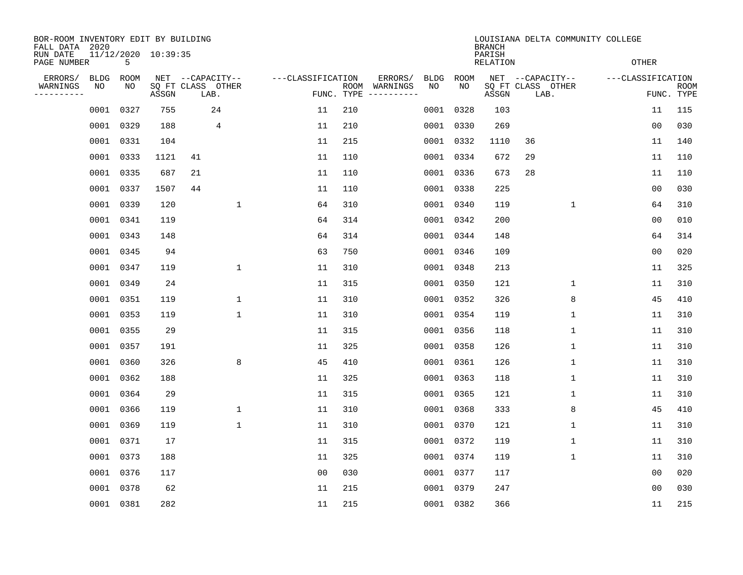| BOR-ROOM INVENTORY EDIT BY BUILDING<br>FALL DATA 2020 |            |            |                     |                                               |                   | LOUISIANA DELTA COMMUNITY COLLEGE<br><b>BRANCH</b><br>PARISH |                                                                                                                                                      |                 |              |                                               |                   |                           |  |  |
|-------------------------------------------------------|------------|------------|---------------------|-----------------------------------------------|-------------------|--------------------------------------------------------------|------------------------------------------------------------------------------------------------------------------------------------------------------|-----------------|--------------|-----------------------------------------------|-------------------|---------------------------|--|--|
| RUN DATE<br>PAGE NUMBER                               |            | 5          | 11/12/2020 10:39:35 |                                               |                   |                                                              |                                                                                                                                                      | <b>RELATION</b> | <b>OTHER</b> |                                               |                   |                           |  |  |
| ERRORS/<br>WARNINGS<br>---------                      | BLDG<br>NO | ROOM<br>NO | ASSGN               | NET --CAPACITY--<br>SQ FT CLASS OTHER<br>LAB. | ---CLASSIFICATION | FUNC. TYPE                                                   | ERRORS/<br>BLDG<br>ROOM WARNINGS<br>NO<br>$\begin{tabular}{ccccccccc} - & - & - & - & - & - & - & - \\ & - & - & - & - & - & - & - \\ \end{tabular}$ | ROOM<br>NO      | ASSGN        | NET --CAPACITY--<br>SQ FT CLASS OTHER<br>LAB. | ---CLASSIFICATION | <b>ROOM</b><br>FUNC. TYPE |  |  |
|                                                       | 0001       | 0327       | 755                 | 24                                            | 11                | 210                                                          |                                                                                                                                                      | 0001 0328       | 103          |                                               | 11                | 115                       |  |  |
|                                                       | 0001 0329  |            | 188                 | 4                                             | 11                | 210                                                          |                                                                                                                                                      | 0001 0330       | 269          |                                               | 0 <sub>0</sub>    | 030                       |  |  |
|                                                       | 0001 0331  |            | 104                 |                                               | 11                | 215                                                          |                                                                                                                                                      | 0001 0332       | 1110         | 36                                            | 11                | 140                       |  |  |
|                                                       | 0001 0333  |            | 1121                | 41                                            | 11                | 110                                                          |                                                                                                                                                      | 0001 0334       | 672          | 29                                            | 11                | 110                       |  |  |
|                                                       | 0001 0335  |            | 687                 | 21                                            | 11                | 110                                                          |                                                                                                                                                      | 0001 0336       | 673          | 28                                            | 11                | 110                       |  |  |
|                                                       | 0001 0337  |            | 1507                | 44                                            | 11                | 110                                                          |                                                                                                                                                      | 0001 0338       | 225          |                                               | 0 <sub>0</sub>    | 030                       |  |  |
|                                                       | 0001 0339  |            | 120                 | $\mathbf 1$                                   | 64                | 310                                                          |                                                                                                                                                      | 0001 0340       | 119          | $\mathbf 1$                                   | 64                | 310                       |  |  |
|                                                       | 0001 0341  |            | 119                 |                                               | 64                | 314                                                          |                                                                                                                                                      | 0001 0342       | 200          |                                               | 0 <sub>0</sub>    | 010                       |  |  |
|                                                       | 0001 0343  |            | 148                 |                                               | 64                | 314                                                          |                                                                                                                                                      | 0001 0344       | 148          |                                               | 64                | 314                       |  |  |
|                                                       | 0001 0345  |            | 94                  |                                               | 63                | 750                                                          |                                                                                                                                                      | 0001 0346       | 109          |                                               | 0 <sub>0</sub>    | 020                       |  |  |
|                                                       | 0001 0347  |            | 119                 | 1                                             | 11                | 310                                                          |                                                                                                                                                      | 0001 0348       | 213          |                                               | 11                | 325                       |  |  |
|                                                       | 0001 0349  |            | 24                  |                                               | 11                | 315                                                          |                                                                                                                                                      | 0001 0350       | 121          | 1                                             | 11                | 310                       |  |  |
|                                                       | 0001       | 0351       | 119                 | 1                                             | 11                | 310                                                          | 0001                                                                                                                                                 | 0352            | 326          | 8                                             | 45                | 410                       |  |  |
|                                                       | 0001 0353  |            | 119                 | $\mathbf{1}$                                  | 11                | 310                                                          |                                                                                                                                                      | 0001 0354       | 119          | 1                                             | 11                | 310                       |  |  |
|                                                       | 0001 0355  |            | 29                  |                                               | 11                | 315                                                          |                                                                                                                                                      | 0001 0356       | 118          | 1                                             | 11                | 310                       |  |  |
|                                                       | 0001 0357  |            | 191                 |                                               | 11                | 325                                                          |                                                                                                                                                      | 0001 0358       | 126          | 1                                             | 11                | 310                       |  |  |
|                                                       | 0001       | 0360       | 326                 | 8                                             | 45                | 410                                                          |                                                                                                                                                      | 0001 0361       | 126          | 1                                             | 11                | 310                       |  |  |
|                                                       | 0001       | 0362       | 188                 |                                               | 11                | 325                                                          |                                                                                                                                                      | 0001 0363       | 118          | 1                                             | 11                | 310                       |  |  |
|                                                       | 0001 0364  |            | 29                  |                                               | 11                | 315                                                          |                                                                                                                                                      | 0001 0365       | 121          | 1                                             | 11                | 310                       |  |  |
|                                                       | 0001 0366  |            | 119                 | $\mathbf 1$                                   | 11                | 310                                                          |                                                                                                                                                      | 0001 0368       | 333          | 8                                             | 45                | 410                       |  |  |
|                                                       | 0001 0369  |            | 119                 | $\mathbf 1$                                   | 11                | 310                                                          |                                                                                                                                                      | 0001 0370       | 121          | 1                                             | 11                | 310                       |  |  |
|                                                       | 0001 0371  |            | 17                  |                                               | 11                | 315                                                          |                                                                                                                                                      | 0001 0372       | 119          | $\mathbf 1$                                   | 11                | 310                       |  |  |
|                                                       | 0001 0373  |            | 188                 |                                               | 11                | 325                                                          |                                                                                                                                                      | 0001 0374       | 119          | 1                                             | 11                | 310                       |  |  |
|                                                       | 0001 0376  |            | 117                 |                                               | 0 <sub>0</sub>    | 030                                                          |                                                                                                                                                      | 0001 0377       | 117          |                                               | 00                | 020                       |  |  |
|                                                       | 0001 0378  |            | 62                  |                                               | 11                | 215                                                          |                                                                                                                                                      | 0001 0379       | 247          |                                               | 0 <sub>0</sub>    | 030                       |  |  |
|                                                       | 0001 0381  |            | 282                 |                                               | 11                | 215                                                          |                                                                                                                                                      | 0001 0382       | 366          |                                               | 11                | 215                       |  |  |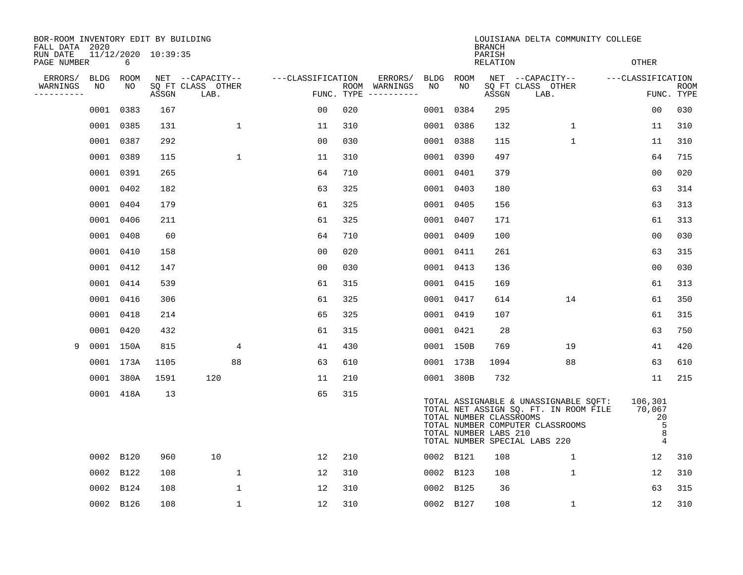| BOR-ROOM INVENTORY EDIT BY BUILDING<br>FALL DATA 2020 |             |           |                     |                           |                   |     |                                      |           |           | <b>BRANCH</b>                                    | LOUISIANA DELTA COMMUNITY COLLEGE                                                                                                                          |                                           |                           |
|-------------------------------------------------------|-------------|-----------|---------------------|---------------------------|-------------------|-----|--------------------------------------|-----------|-----------|--------------------------------------------------|------------------------------------------------------------------------------------------------------------------------------------------------------------|-------------------------------------------|---------------------------|
| RUN DATE<br>PAGE NUMBER                               |             | 6         | 11/12/2020 10:39:35 |                           |                   |     |                                      |           |           | PARISH<br><b>RELATION</b>                        |                                                                                                                                                            | <b>OTHER</b>                              |                           |
| ERRORS/                                               | <b>BLDG</b> | ROOM      |                     | NET --CAPACITY--          | ---CLASSIFICATION |     | ERRORS/                              |           | BLDG ROOM |                                                  | NET --CAPACITY-- - ---CLASSIFICATION                                                                                                                       |                                           |                           |
| WARNINGS<br>----------                                | NO          | NO        | ASSGN               | SQ FT CLASS OTHER<br>LAB. |                   |     | ROOM WARNINGS<br>FUNC. TYPE $------$ | NO        | NO.       | ASSGN                                            | SQ FT CLASS OTHER<br>LAB.                                                                                                                                  |                                           | <b>ROOM</b><br>FUNC. TYPE |
|                                                       |             | 0001 0383 | 167                 |                           | 00                | 020 |                                      |           | 0001 0384 | 295                                              |                                                                                                                                                            | 0 <sub>0</sub>                            | 030                       |
|                                                       |             | 0001 0385 | 131                 | $\mathbf 1$               | 11                | 310 |                                      |           | 0001 0386 | 132                                              | $\mathbf{1}$                                                                                                                                               | 11                                        | 310                       |
|                                                       |             | 0001 0387 | 292                 |                           | 00                | 030 |                                      |           | 0001 0388 | 115                                              | $\mathbf 1$                                                                                                                                                | 11                                        | 310                       |
|                                                       |             | 0001 0389 | 115                 | 1                         | 11                | 310 |                                      |           | 0001 0390 | 497                                              |                                                                                                                                                            | 64                                        | 715                       |
|                                                       |             | 0001 0391 | 265                 |                           | 64                | 710 |                                      | 0001 0401 |           | 379                                              |                                                                                                                                                            | 0 <sub>0</sub>                            | 020                       |
|                                                       |             | 0001 0402 | 182                 |                           | 63                | 325 |                                      |           | 0001 0403 | 180                                              |                                                                                                                                                            | 63                                        | 314                       |
|                                                       |             | 0001 0404 | 179                 |                           | 61                | 325 |                                      |           | 0001 0405 | 156                                              |                                                                                                                                                            | 63                                        | 313                       |
|                                                       |             | 0001 0406 | 211                 |                           | 61                | 325 |                                      | 0001 0407 |           | 171                                              |                                                                                                                                                            | 61                                        | 313                       |
|                                                       |             | 0001 0408 | 60                  |                           | 64                | 710 |                                      | 0001 0409 |           | 100                                              |                                                                                                                                                            | 0 <sub>0</sub>                            | 030                       |
|                                                       |             | 0001 0410 | 158                 |                           | 00                | 020 |                                      | 0001 0411 |           | 261                                              |                                                                                                                                                            | 63                                        | 315                       |
|                                                       |             | 0001 0412 | 147                 |                           | 0 <sub>0</sub>    | 030 |                                      |           | 0001 0413 | 136                                              |                                                                                                                                                            | 0 <sub>0</sub>                            | 030                       |
|                                                       |             | 0001 0414 | 539                 |                           | 61                | 315 |                                      | 0001 0415 |           | 169                                              |                                                                                                                                                            | 61                                        | 313                       |
|                                                       |             | 0001 0416 | 306                 |                           | 61                | 325 |                                      |           | 0001 0417 | 614                                              | 14                                                                                                                                                         | 61                                        | 350                       |
|                                                       |             | 0001 0418 | 214                 |                           | 65                | 325 |                                      | 0001 0419 |           | 107                                              |                                                                                                                                                            | 61                                        | 315                       |
|                                                       |             | 0001 0420 | 432                 |                           | 61                | 315 |                                      |           | 0001 0421 | -28                                              |                                                                                                                                                            | 63                                        | 750                       |
| 9                                                     |             | 0001 150A | 815                 | 4                         | 41                | 430 |                                      |           | 0001 150B | 769                                              | 19                                                                                                                                                         | 41                                        | 420                       |
|                                                       |             | 0001 173A | 1105                | 88                        | 63                | 610 |                                      |           | 0001 173B | 1094                                             | 88                                                                                                                                                         | 63                                        | 610                       |
|                                                       |             | 0001 380A | 1591                | 120                       | 11                | 210 |                                      |           | 0001 380B | 732                                              |                                                                                                                                                            | 11                                        | 215                       |
|                                                       |             | 0001 418A | 13                  |                           | 65                | 315 |                                      |           |           | TOTAL NUMBER CLASSROOMS<br>TOTAL NUMBER LABS 210 | TOTAL ASSIGNABLE & UNASSIGNABLE SQFT:<br>TOTAL NET ASSIGN SQ. FT. IN ROOM FILE 70,067<br>TOTAL NUMBER COMPUTER CLASSROOMS<br>TOTAL NUMBER SPECIAL LABS 220 | 106,301<br>20<br>5<br>8<br>$\overline{4}$ |                           |
|                                                       |             | 0002 B120 | 960                 | 10                        | 12                | 210 |                                      |           | 0002 B121 | 108                                              | $\mathbf{1}$                                                                                                                                               | 12 <sup>°</sup>                           | 310                       |
|                                                       |             | 0002 B122 | 108                 | $\mathbf{1}$              | 12                | 310 |                                      |           | 0002 B123 | 108                                              | $\mathbf{1}$                                                                                                                                               | 12                                        | 310                       |
|                                                       |             | 0002 B124 | 108                 | 1                         | 12                | 310 |                                      |           | 0002 B125 | 36                                               |                                                                                                                                                            | 63                                        | 315                       |
|                                                       |             | 0002 B126 | 108                 | 1                         | 12                | 310 |                                      |           | 0002 B127 | 108                                              | $\mathbf{1}$                                                                                                                                               | 12                                        | 310                       |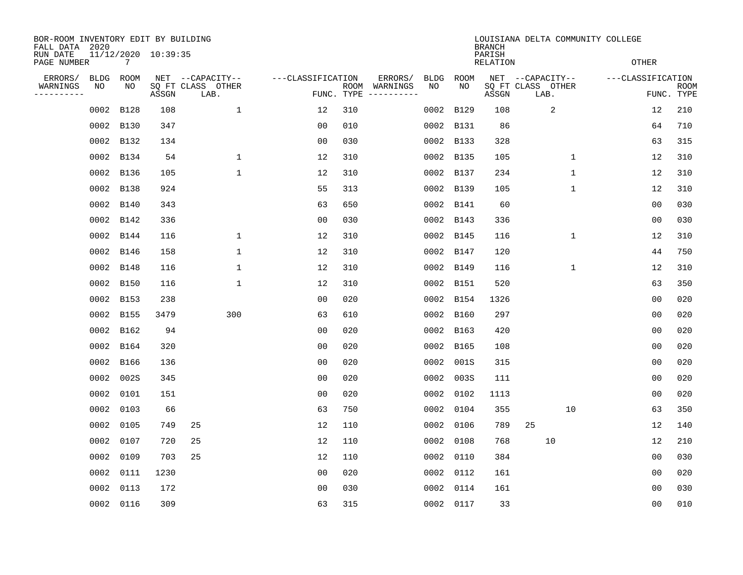| BOR-ROOM INVENTORY EDIT BY BUILDING<br>FALL DATA 2020 |            |             |                     |                                       |                   | LOUISIANA DELTA COMMUNITY COLLEGE<br><b>BRANCH</b> |                          |                   |             |                           |                                       |                   |            |  |
|-------------------------------------------------------|------------|-------------|---------------------|---------------------------------------|-------------------|----------------------------------------------------|--------------------------|-------------------|-------------|---------------------------|---------------------------------------|-------------------|------------|--|
| RUN DATE<br>PAGE NUMBER                               |            | 7           | 11/12/2020 10:39:35 |                                       |                   |                                                    |                          |                   |             | PARISH<br><b>RELATION</b> |                                       | <b>OTHER</b>      |            |  |
| ERRORS/<br>WARNINGS                                   | BLDG<br>NO | ROOM<br>NO  |                     | NET --CAPACITY--<br>SQ FT CLASS OTHER | ---CLASSIFICATION |                                                    | ERRORS/<br>ROOM WARNINGS | <b>BLDG</b><br>NO | ROOM<br>NO. |                           | NET --CAPACITY--<br>SQ FT CLASS OTHER | ---CLASSIFICATION | ROOM       |  |
| ----------                                            |            |             | ASSGN               | LAB.                                  |                   |                                                    | FUNC. TYPE $------$      |                   |             | ASSGN                     | LAB.                                  |                   | FUNC. TYPE |  |
|                                                       | 0002       | B128        | 108                 | $\mathbf{1}$                          | 12                | 310                                                |                          | 0002              | B129        | 108                       | 2                                     | 12                | 210        |  |
|                                                       |            | 0002 B130   | 347                 |                                       | 0 <sub>0</sub>    | 010                                                |                          |                   | 0002 B131   | 86                        |                                       | 64                | 710        |  |
|                                                       |            | 0002 B132   | 134                 |                                       | 0 <sub>0</sub>    | 030                                                |                          |                   | 0002 B133   | 328                       |                                       | 63                | 315        |  |
|                                                       |            | 0002 B134   | 54                  | 1                                     | 12                | 310                                                |                          |                   | 0002 B135   | 105                       | $\mathbf 1$                           | 12                | 310        |  |
|                                                       |            | 0002 B136   | 105                 | $\mathbf{1}$                          | 12                | 310                                                |                          |                   | 0002 B137   | 234                       | $\mathbf{1}$                          | 12                | 310        |  |
|                                                       |            | 0002 B138   | 924                 |                                       | 55                | 313                                                |                          |                   | 0002 B139   | 105                       | $\mathbf 1$                           | 12                | 310        |  |
|                                                       |            | 0002 B140   | 343                 |                                       | 63                | 650                                                |                          |                   | 0002 B141   | 60                        |                                       | 0 <sub>0</sub>    | 030        |  |
|                                                       |            | 0002 B142   | 336                 |                                       | 0 <sub>0</sub>    | 030                                                |                          |                   | 0002 B143   | 336                       |                                       | 0 <sub>0</sub>    | 030        |  |
|                                                       | 0002       | B144        | 116                 | 1                                     | 12                | 310                                                |                          |                   | 0002 B145   | 116                       | 1                                     | 12                | 310        |  |
|                                                       | 0002       | B146        | 158                 | $\mathbf{1}$                          | 12                | 310                                                |                          |                   | 0002 B147   | 120                       |                                       | 44                | 750        |  |
|                                                       | 0002       | B148        | 116                 | 1                                     | 12                | 310                                                |                          |                   | 0002 B149   | 116                       | 1                                     | 12                | 310        |  |
|                                                       |            | 0002 B150   | 116                 | 1                                     | 12                | 310                                                |                          |                   | 0002 B151   | 520                       |                                       | 63                | 350        |  |
|                                                       | 0002       | <b>B153</b> | 238                 |                                       | 0 <sub>0</sub>    | 020                                                |                          |                   | 0002 B154   | 1326                      |                                       | 0 <sub>0</sub>    | 020        |  |
|                                                       |            | 0002 B155   | 3479                | 300                                   | 63                | 610                                                |                          |                   | 0002 B160   | 297                       |                                       | 0 <sub>0</sub>    | 020        |  |
|                                                       |            | 0002 B162   | 94                  |                                       | 0 <sub>0</sub>    | 020                                                |                          |                   | 0002 B163   | 420                       |                                       | 0 <sub>0</sub>    | 020        |  |
|                                                       |            | 0002 B164   | 320                 |                                       | 0 <sub>0</sub>    | 020                                                |                          |                   | 0002 B165   | 108                       |                                       | 0 <sub>0</sub>    | 020        |  |
|                                                       | 0002       | <b>B166</b> | 136                 |                                       | 0 <sub>0</sub>    | 020                                                |                          |                   | 0002 001S   | 315                       |                                       | 0 <sub>0</sub>    | 020        |  |
|                                                       | 0002       | 002S        | 345                 |                                       | 0 <sub>0</sub>    | 020                                                |                          | 0002              | 003S        | 111                       |                                       | 0 <sub>0</sub>    | 020        |  |
|                                                       | 0002       | 0101        | 151                 |                                       | 0 <sub>0</sub>    | 020                                                |                          |                   | 0002 0102   | 1113                      |                                       | 0 <sub>0</sub>    | 020        |  |
|                                                       | 0002       | 0103        | 66                  |                                       | 63                | 750                                                |                          |                   | 0002 0104   | 355                       | 10                                    | 63                | 350        |  |
|                                                       | 0002       | 0105        | 749                 | 25                                    | 12                | 110                                                |                          |                   | 0002 0106   | 789                       | 25                                    | 12                | 140        |  |
|                                                       | 0002       | 0107        | 720                 | 25                                    | 12                | 110                                                |                          | 0002              | 0108        | 768                       | 10                                    | 12                | 210        |  |
|                                                       | 0002       | 0109        | 703                 | 25                                    | 12                | 110                                                |                          |                   | 0002 0110   | 384                       |                                       | 0 <sub>0</sub>    | 030        |  |
|                                                       | 0002       | 0111        | 1230                |                                       | 0 <sub>0</sub>    | 020                                                |                          |                   | 0002 0112   | 161                       |                                       | 0 <sub>0</sub>    | 020        |  |
|                                                       | 0002       | 0113        | 172                 |                                       | 00                | 030                                                |                          |                   | 0002 0114   | 161                       |                                       | 00                | 030        |  |
|                                                       |            | 0002 0116   | 309                 |                                       | 63                | 315                                                |                          |                   | 0002 0117   | 33                        |                                       | 0 <sub>0</sub>    | 010        |  |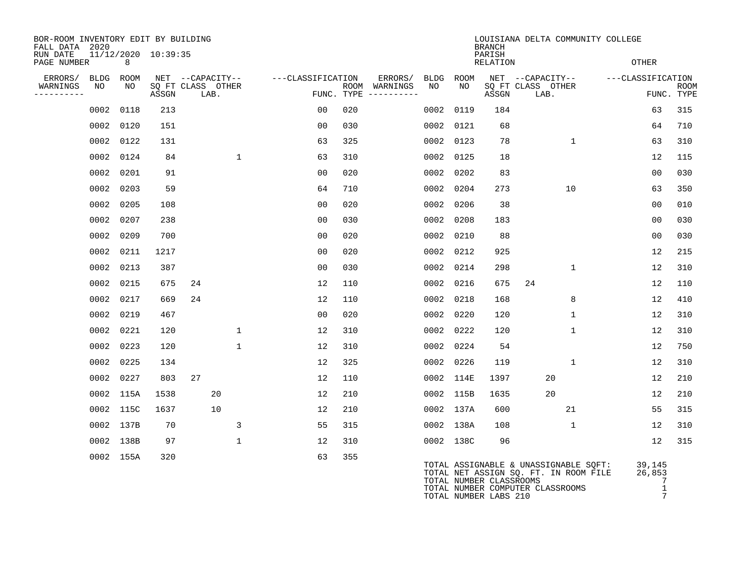| BOR-ROOM INVENTORY EDIT BY BUILDING<br>FALL DATA 2020 |           |                     |                           |                  |                   | LOUISIANA DELTA COMMUNITY COLLEGE<br><b>BRANCH</b> |                                      |      |           |                           |                                                                                |                              |                           |
|-------------------------------------------------------|-----------|---------------------|---------------------------|------------------|-------------------|----------------------------------------------------|--------------------------------------|------|-----------|---------------------------|--------------------------------------------------------------------------------|------------------------------|---------------------------|
| RUN DATE<br>PAGE NUMBER                               | 8         | 11/12/2020 10:39:35 |                           |                  |                   |                                                    |                                      |      |           | PARISH<br><b>RELATION</b> |                                                                                | <b>OTHER</b>                 |                           |
| ERRORS/                                               | BLDG ROOM |                     |                           | NET --CAPACITY-- | ---CLASSIFICATION |                                                    | ERRORS/                              | BLDG | ROOM      |                           | NET --CAPACITY--                                                               | ---CLASSIFICATION            |                           |
| WARNINGS<br>NO<br>----------                          | NO        | ASSGN               | SQ FT CLASS OTHER<br>LAB. |                  |                   |                                                    | ROOM WARNINGS<br>FUNC. TYPE $------$ | NO   | NO        | ASSGN                     | SQ FT CLASS OTHER<br>LAB.                                                      |                              | <b>ROOM</b><br>FUNC. TYPE |
|                                                       | 0002 0118 | 213                 |                           |                  | 0 <sub>0</sub>    | 020                                                |                                      | 0002 | 0119      | 184                       |                                                                                | 63                           | 315                       |
|                                                       | 0002 0120 | 151                 |                           |                  | 00                | 030                                                |                                      | 0002 | 0121      | 68                        |                                                                                | 64                           | 710                       |
|                                                       | 0002 0122 | 131                 |                           |                  | 63                | 325                                                |                                      | 0002 | 0123      | 78                        | $\mathbf{1}$                                                                   | 63                           | 310                       |
|                                                       | 0002 0124 | 84                  |                           | $\mathbf{1}$     | 63                | 310                                                |                                      |      | 0002 0125 | 18                        |                                                                                | 12                           | 115                       |
|                                                       | 0002 0201 | 91                  |                           |                  | 00                | 020                                                |                                      | 0002 | 0202      | 83                        |                                                                                | 0 <sub>0</sub>               | 030                       |
|                                                       | 0002 0203 | 59                  |                           |                  | 64                | 710                                                |                                      | 0002 | 0204      | 273                       | 10                                                                             | 63                           | 350                       |
|                                                       | 0002 0205 | 108                 |                           |                  | 0 <sub>0</sub>    | 020                                                |                                      | 0002 | 0206      | 38                        |                                                                                | 00                           | 010                       |
|                                                       | 0002 0207 | 238                 |                           |                  | 00                | 030                                                |                                      |      | 0002 0208 | 183                       |                                                                                | 0 <sub>0</sub>               | 030                       |
|                                                       | 0002 0209 | 700                 |                           |                  | 0 <sub>0</sub>    | 020                                                |                                      |      | 0002 0210 | 88                        |                                                                                | 0 <sub>0</sub>               | 030                       |
|                                                       | 0002 0211 | 1217                |                           |                  | 0 <sub>0</sub>    | 020                                                |                                      | 0002 | 0212      | 925                       |                                                                                | 12                           | 215                       |
|                                                       | 0002 0213 | 387                 |                           |                  | 0 <sub>0</sub>    | 0.30                                               |                                      |      | 0002 0214 | 298                       | $\mathbf{1}$                                                                   | 12                           | 310                       |
|                                                       | 0002 0215 | 675                 | 24                        |                  | 12                | 110                                                |                                      |      | 0002 0216 | 675                       | 24                                                                             | 12                           | 110                       |
|                                                       | 0002 0217 | 669                 | 24                        |                  | 12                | 110                                                |                                      | 0002 | 0218      | 168                       | 8                                                                              | 12                           | 410                       |
|                                                       | 0002 0219 | 467                 |                           |                  | 00                | 020                                                |                                      | 0002 | 0220      | 120                       | $\mathbf{1}$                                                                   | 12                           | 310                       |
|                                                       | 0002 0221 | 120                 |                           | $\mathbf 1$      | 12                | 310                                                |                                      |      | 0002 0222 | 120                       | $\mathbf{1}$                                                                   | 12                           | 310                       |
|                                                       | 0002 0223 | 120                 |                           | $\mathbf{1}$     | 12                | 310                                                |                                      | 0002 | 0224      | 54                        |                                                                                | 12                           | 750                       |
|                                                       | 0002 0225 | 134                 |                           |                  | 12                | 325                                                |                                      |      | 0002 0226 | 119                       | $\mathbf{1}$                                                                   | 12                           | 310                       |
|                                                       | 0002 0227 | 803                 | 27                        |                  | 12                | 110                                                |                                      |      | 0002 114E | 1397                      | 20                                                                             | 12                           | 210                       |
|                                                       | 0002 115A | 1538                |                           | 20               | 12                | 210                                                |                                      |      | 0002 115B | 1635                      | 20                                                                             | 12                           | 210                       |
|                                                       | 0002 115C | 1637                |                           | 10               | 12                | 210                                                |                                      |      | 0002 137A | 600                       | 21                                                                             | 55                           | 315                       |
|                                                       | 0002 137B | 70                  |                           | 3                | 55                | 315                                                |                                      |      | 0002 138A | 108                       | $\mathbf{1}$                                                                   | 12                           | 310                       |
|                                                       | 0002 138B | 97                  |                           | $\mathbf{1}$     | 12                | 310                                                |                                      |      | 0002 138C | 96                        |                                                                                | 12                           | 315                       |
|                                                       | 0002 155A | 320                 |                           |                  | 63                | 355                                                |                                      |      |           | TOTAL NUMBER CLASSROOMS   | TOTAL ASSIGNABLE & UNASSIGNABLE SQFT:<br>TOTAL NET ASSIGN SO. FT. IN ROOM FILE | 39,145<br>26,853<br>$\sim$ 7 |                           |

TOTAL NUMBER COMPUTER CLASSROOMS 1 1 TOTAL NUMBER LABS 210 7

TOTAL NUMBER LABS 210 7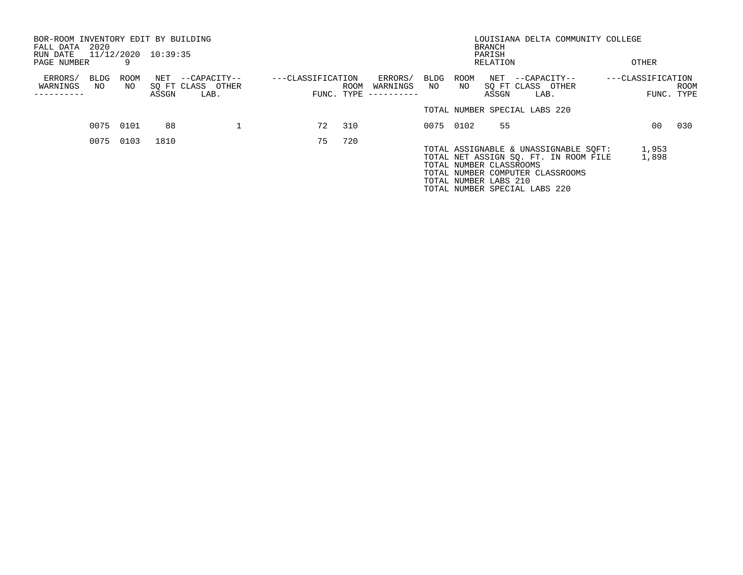| BOR-ROOM INVENTORY EDIT BY BUILDING<br>FALL DATA | 2020       |            |                     |                                           |                                 |      |                                   |            |            | <b>BRANCH</b>           | LOUISIANA DELTA COMMUNITY COLLEGE                                              |                   |                |              |
|--------------------------------------------------|------------|------------|---------------------|-------------------------------------------|---------------------------------|------|-----------------------------------|------------|------------|-------------------------|--------------------------------------------------------------------------------|-------------------|----------------|--------------|
| RUN DATE                                         |            |            | 11/12/2020 10:39:35 |                                           |                                 |      |                                   |            |            | PARISH                  |                                                                                |                   |                |              |
| PAGE NUMBER                                      |            |            |                     |                                           |                                 |      |                                   |            |            | RELATION                |                                                                                |                   | OTHER          |              |
| ERRORS/<br>WARNINGS                              | BLDG<br>NO | ROOM<br>NO | NET<br>ASSGN        | --CAPACITY--<br>SQ FT CLASS OTHER<br>LAB. | ---CLASSIFICATION<br>FUNC. TYPE | ROOM | ERRORS/<br>WARNINGS<br>---------- | BLDG<br>NO | ROOM<br>NO | ASSGN                   | NET --CAPACITY--<br>SQ FT CLASS OTHER<br>LAB.                                  | ---CLASSIFICATION | FUNC.          | ROOM<br>TYPE |
|                                                  |            |            |                     |                                           |                                 |      |                                   |            |            |                         | TOTAL NUMBER SPECIAL LABS 220                                                  |                   |                |              |
|                                                  |            | 0075 0101  | 88                  |                                           | 72                              | 310  |                                   |            | 0075 0102  | 55                      |                                                                                |                   | 00             | 030          |
|                                                  | 0075       | 0103       | 1810                |                                           | 75                              | 720  |                                   |            |            | TOTAL NUMBER CLASSROOMS | TOTAL ASSIGNABLE & UNASSIGNABLE SQFT:<br>TOTAL NET ASSIGN SQ. FT. IN ROOM FILE |                   | 1,953<br>1,898 |              |
|                                                  |            |            |                     |                                           |                                 |      |                                   |            |            | TOTAL NUMBER LABS 210   | TOTAL NUMBER COMPUTER CLASSROOMS<br>TOTAL NUMBER SPECIAL LABS 220              |                   |                |              |